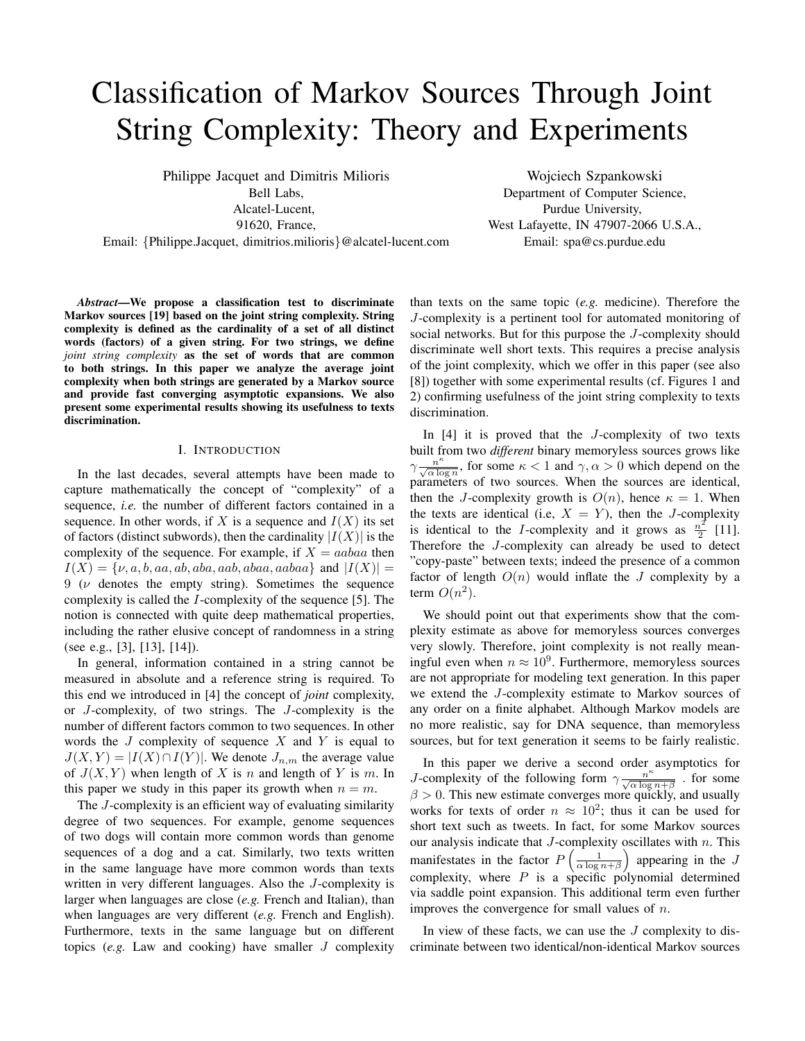# Classification of Markov Sources Through Joint String Complexity: Theory and Experiments

Philippe Jacquet and Dimitris Milioris Bell Labs,

Alcatel-Lucent,

91620, France,

Email: {Philippe.Jacquet, dimitrios.milioris}@alcatel-lucent.com

Wojciech Szpankowski Department of Computer Science, Purdue University, West Lafayette, IN 47907-2066 U.S.A., Email: spa@cs.purdue.edu

*Abstract*—We propose a classification test to discriminate Markov sources [19] based on the joint string complexity. String complexity is defined as the cardinality of a set of all distinct words (factors) of a given string. For two strings, we define *joint string complexity* as the set of words that are common to both strings. In this paper we analyze the average joint complexity when both strings are generated by a Markov source and provide fast converging asymptotic expansions. We also present some experimental results showing its usefulness to texts discrimination.

#### I. INTRODUCTION

In the last decades, several attempts have been made to capture mathematically the concept of "complexity" of a sequence, *i.e.* the number of different factors contained in a sequence. In other words, if X is a sequence and  $I(X)$  its set of factors (distinct subwords), then the cardinality  $|I(X)|$  is the complexity of the sequence. For example, if  $X = aabaa$  then  $I(X) = \{v, a, b, aa, ab, aba, aab, abaa, aabaa\}$  and  $|I(X)| =$  $9 \, (\nu)$  denotes the empty string). Sometimes the sequence complexity is called the I-complexity of the sequence [5]. The notion is connected with quite deep mathematical properties, including the rather elusive concept of randomness in a string (see e.g., [3], [13], [14]).

In general, information contained in a string cannot be measured in absolute and a reference string is required. To this end we introduced in [4] the concept of *joint* complexity, or J-complexity, of two strings. The J-complexity is the number of different factors common to two sequences. In other words the  $J$  complexity of sequence  $X$  and  $Y$  is equal to  $J(X, Y) = |I(X) \cap I(Y)|$ . We denote  $J_{n,m}$  the average value of  $J(X, Y)$  when length of X is n and length of Y is m. In this paper we study in this paper its growth when  $n = m$ .

The J-complexity is an efficient way of evaluating similarity degree of two sequences. For example, genome sequences of two dogs will contain more common words than genome sequences of a dog and a cat. Similarly, two texts written in the same language have more common words than texts written in very different languages. Also the J-complexity is larger when languages are close (*e.g.* French and Italian), than when languages are very different (*e.g.* French and English). Furthermore, texts in the same language but on different topics (*e.g.* Law and cooking) have smaller J complexity than texts on the same topic (*e.g.* medicine). Therefore the J-complexity is a pertinent tool for automated monitoring of social networks. But for this purpose the J-complexity should discriminate well short texts. This requires a precise analysis of the joint complexity, which we offer in this paper (see also [8]) together with some experimental results (cf. Figures 1 and 2) confirming usefulness of the joint string complexity to texts discrimination.

In  $[4]$  it is proved that the *J*-complexity of two texts built from two *different* binary memoryless sources grows like  $\gamma \frac{n^k}{\sqrt{\alpha \log n}}$ , for some  $\kappa < 1$  and  $\gamma, \alpha > 0$  which depend on the parameters of two sources. When the sources are identical, then the J-complexity growth is  $O(n)$ , hence  $\kappa = 1$ . When the texts are identical (i.e,  $X = Y$ ), then the J-complexity is identical to the I-complexity and it grows as  $\frac{n^2}{2}$  $\frac{i}{2}$  [11]. Therefore the J-complexity can already be used to detect "copy-paste" between texts; indeed the presence of a common factor of length  $O(n)$  would inflate the J complexity by a term  $O(n^2)$ .

We should point out that experiments show that the complexity estimate as above for memoryless sources converges very slowly. Therefore, joint complexity is not really meaningful even when  $n \approx 10^9$ . Furthermore, memoryless sources are not appropriate for modeling text generation. In this paper we extend the J-complexity estimate to Markov sources of any order on a finite alphabet. Although Markov models are no more realistic, say for DNA sequence, than memoryless sources, but for text generation it seems to be fairly realistic.

In this paper we derive a second order asymptotics for *J*-complexity of the following form  $\gamma \frac{n^k}{\sqrt{\alpha \log n + \beta}}$ . for some  $\beta > 0$ . This new estimate converges more quickly, and usually works for texts of order  $n \approx 10^2$ ; thus it can be used for short text such as tweets. In fact, for some Markov sources our analysis indicate that  $J$ -complexity oscillates with  $n$ . This manifestates in the factor  $P\left(\frac{1}{\alpha \log n + \beta}\right)$  appearing in the J complexity, where  $P$  is a specific polynomial determined via saddle point expansion. This additional term even further improves the convergence for small values of  $n$ .

In view of these facts, we can use the  $J$  complexity to discriminate between two identical/non-identical Markov sources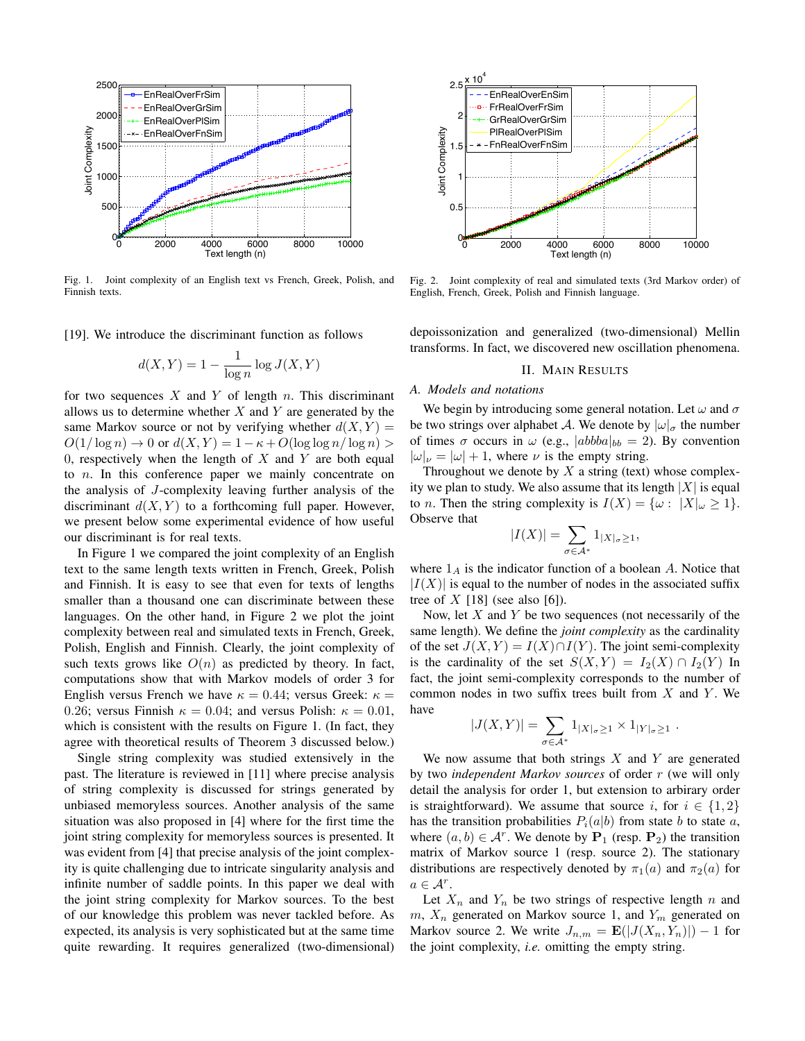

Fig. 1. Joint complexity of an English text vs French, Greek, Polish, and Finnish texts.

[19]. We introduce the discriminant function as follows

$$
d(X,Y) = 1 - \frac{1}{\log n} \log J(X,Y)
$$

for two sequences  $X$  and  $Y$  of length  $n$ . This discriminant allows us to determine whether  $X$  and  $Y$  are generated by the same Markov source or not by verifying whether  $d(X, Y) =$  $O(1/\log n) \to 0$  or  $d(X, Y) = 1 - \kappa + O(\log \log n / \log n) >$ 0, respectively when the length of  $X$  and  $Y$  are both equal to n. In this conference paper we mainly concentrate on the analysis of J-complexity leaving further analysis of the discriminant  $d(X, Y)$  to a forthcoming full paper. However, we present below some experimental evidence of how useful our discriminant is for real texts.

In Figure 1 we compared the joint complexity of an English text to the same length texts written in French, Greek, Polish and Finnish. It is easy to see that even for texts of lengths smaller than a thousand one can discriminate between these languages. On the other hand, in Figure 2 we plot the joint complexity between real and simulated texts in French, Greek, Polish, English and Finnish. Clearly, the joint complexity of such texts grows like  $O(n)$  as predicted by theory. In fact, computations show that with Markov models of order 3 for English versus French we have  $\kappa = 0.44$ ; versus Greek:  $\kappa =$ 0.26; versus Finnish  $\kappa = 0.04$ ; and versus Polish:  $\kappa = 0.01$ , which is consistent with the results on Figure 1. (In fact, they agree with theoretical results of Theorem 3 discussed below.)

Single string complexity was studied extensively in the past. The literature is reviewed in [11] where precise analysis of string complexity is discussed for strings generated by unbiased memoryless sources. Another analysis of the same situation was also proposed in [4] where for the first time the joint string complexity for memoryless sources is presented. It was evident from [4] that precise analysis of the joint complexity is quite challenging due to intricate singularity analysis and infinite number of saddle points. In this paper we deal with the joint string complexity for Markov sources. To the best of our knowledge this problem was never tackled before. As expected, its analysis is very sophisticated but at the same time quite rewarding. It requires generalized (two-dimensional)



Fig. 2. Joint complexity of real and simulated texts (3rd Markov order) of English, French, Greek, Polish and Finnish language.

depoissonization and generalized (two-dimensional) Mellin transforms. In fact, we discovered new oscillation phenomena.

## II. MAIN RESULTS

## *A. Models and notations*

We begin by introducing some general notation. Let  $\omega$  and  $\sigma$ be two strings over alphabet A. We denote by  $|\omega|_{\sigma}$  the number of times  $\sigma$  occurs in  $\omega$  (e.g.,  $|abbba|_{bb} = 2$ ). By convention  $|\omega|_{\nu} = |\omega| + 1$ , where  $\nu$  is the empty string.

Throughout we denote by  $X$  a string (text) whose complexity we plan to study. We also assume that its length  $|X|$  is equal to *n*. Then the string complexity is  $I(X) = \{ \omega : |X|_{\omega} \ge 1 \}.$ Observe that

$$
|I(X)|=\sum_{\sigma\in\mathcal{A}^*}1_{|X|_{\sigma}\geq 1},
$$

where  $1_A$  is the indicator function of a boolean A. Notice that  $|I(X)|$  is equal to the number of nodes in the associated suffix tree of  $X$  [18] (see also [6]).

Now, let  $X$  and  $Y$  be two sequences (not necessarily of the same length). We define the *joint complexity* as the cardinality of the set  $J(X, Y) = I(X) \cap I(Y)$ . The joint semi-complexity is the cardinality of the set  $S(X, Y) = I_2(X) \cap I_2(Y)$  In fact, the joint semi-complexity corresponds to the number of common nodes in two suffix trees built from  $X$  and  $Y$ . We have

$$
|J(X,Y)| = \sum_{\sigma \in \mathcal{A}^*} 1_{|X|\sigma \ge 1} \times 1_{|Y|\sigma \ge 1} .
$$

We now assume that both strings  $X$  and  $Y$  are generated by two *independent Markov sources* of order r (we will only detail the analysis for order 1, but extension to arbirary order is straightforward). We assume that source i, for  $i \in \{1,2\}$ has the transition probabilities  $P_i(a|b)$  from state b to state a, where  $(a, b) \in \mathcal{A}^r$ . We denote by  $\mathbf{P}_1$  (resp.  $\mathbf{P}_2$ ) the transition matrix of Markov source 1 (resp. source 2). The stationary distributions are respectively denoted by  $\pi_1(a)$  and  $\pi_2(a)$  for  $a \in \mathcal{A}^r$ .

Let  $X_n$  and  $Y_n$  be two strings of respective length n and  $m, X_n$  generated on Markov source 1, and  $Y_m$  generated on Markov source 2. We write  $J_{n,m} = \mathbf{E}(|J(X_n, Y_n)|) - 1$  for the joint complexity, *i.e.* omitting the empty string.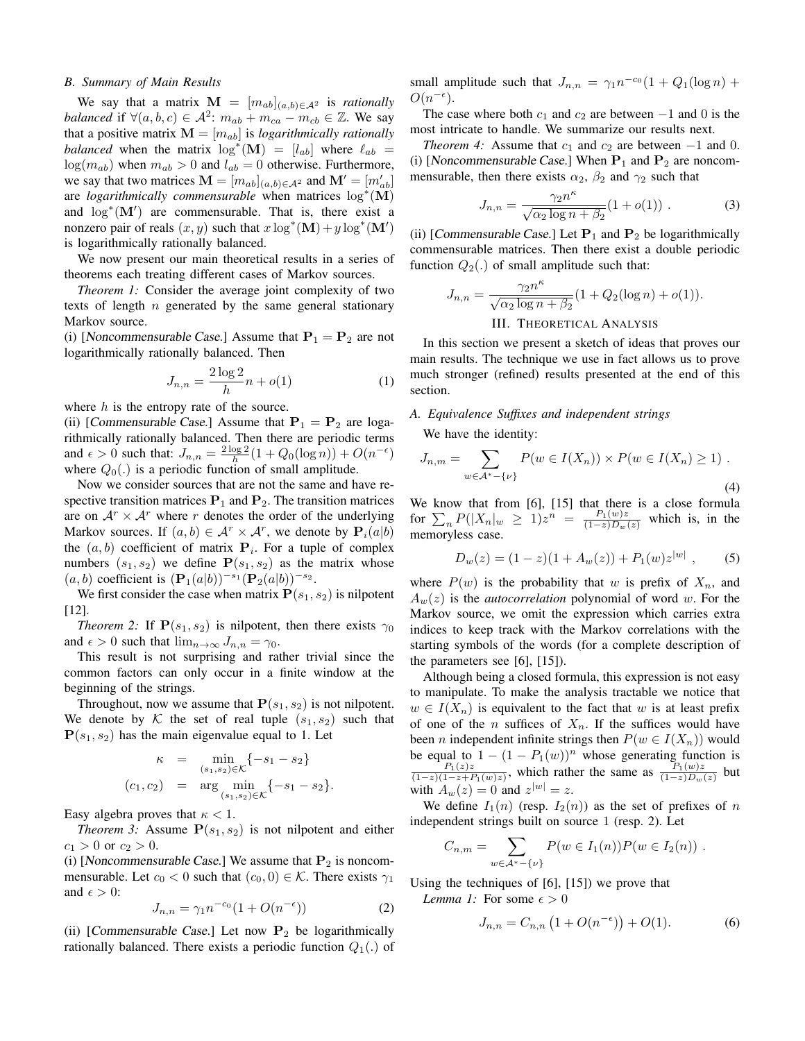### *B. Summary of Main Results*

We say that a matrix  $\mathbf{M} = [m_{ab}]_{(a,b)\in\mathcal{A}^2}$  is *rationally balanced* if  $\forall (a, b, c) \in \mathcal{A}^2$ :  $m_{ab} + m_{ca} - m_{cb} \in \mathbb{Z}$ . We say that a positive matrix  $\mathbf{M} = [m_{ab}]$  is *logarithmically rationally balanced* when the matrix  $\log^*(\mathbf{M}) = [l_{ab}]$  where  $\ell_{ab}$  =  $log(m_{ab})$  when  $m_{ab} > 0$  and  $l_{ab} = 0$  otherwise. Furthermore, we say that two matrices  $\mathbf{M} = [m_{ab}]_{(a,b)\in\mathcal{A}^2}$  and  $\mathbf{M}' = [m'_{ab}]$ are *logarithmically commensurable* when matrices log<sup>\*</sup>(M) and  $\log^*(\mathbf{M}')$  are commensurable. That is, there exist a nonzero pair of reals  $(x, y)$  such that  $x \log^* (\mathbf{M}) + y \log^* (\mathbf{M}')$ is logarithmically rationally balanced.

We now present our main theoretical results in a series of theorems each treating different cases of Markov sources.

*Theorem 1:* Consider the average joint complexity of two texts of length  $n$  generated by the same general stationary Markov source.

(i) [Noncommensurable Case.] Assume that  $P_1 = P_2$  are not logarithmically rationally balanced. Then

$$
J_{n,n} = \frac{2\log 2}{h}n + o(1)
$$
 (1)

where  $h$  is the entropy rate of the source.

(ii) [Commensurable Case.] Assume that  $P_1 = P_2$  are logarithmically rationally balanced. Then there are periodic terms and  $\epsilon > 0$  such that:  $J_{n,n} = \frac{2 \log 2}{h} (1 + Q_0(\log n)) + O(n^{-\epsilon})$ where  $Q_0(.)$  is a periodic function of small amplitude.

Now we consider sources that are not the same and have respective transition matrices  $P_1$  and  $P_2$ . The transition matrices are on  $\mathcal{A}^r \times \mathcal{A}^r$  where r denotes the order of the underlying Markov sources. If  $(a, b) \in \mathcal{A}^r \times \mathcal{A}^r$ , we denote by  $\mathbf{P}_i(a|b)$ the  $(a, b)$  coefficient of matrix  $P_i$ . For a tuple of complex numbers  $(s_1, s_2)$  we define  $P(s_1, s_2)$  as the matrix whose  $(a, b)$  coefficient is  $({\bf P}_1(a|b))^{-s_1}({\bf P}_2(a|b))^{-s_2}$ .

We first consider the case when matrix  $P(s_1, s_2)$  is nilpotent [12].

*Theorem 2:* If  $P(s_1, s_2)$  is nilpotent, then there exists  $\gamma_0$ and  $\epsilon > 0$  such that  $\lim_{n\to\infty} J_{n,n} = \gamma_0$ .

This result is not surprising and rather trivial since the common factors can only occur in a finite window at the beginning of the strings.

Throughout, now we assume that  $P(s_1, s_2)$  is not nilpotent. We denote by K the set of real tuple  $(s_1, s_2)$  such that  $P(s_1, s_2)$  has the main eigenvalue equal to 1. Let

$$
\kappa = \min_{(s_1, s_2) \in \mathcal{K}} \{-s_1 - s_2\}
$$
  
(c<sub>1</sub>, c<sub>2</sub>) = arg min<sub>(s<sub>1</sub>, s<sub>2</sub>) \in \mathcal{K}} \{-s\_1 - s\_2\}.</sub>

Easy algebra proves that  $\kappa < 1$ .

*Theorem 3:* Assume  $P(s_1, s_2)$  is not nilpotent and either  $c_1 > 0$  or  $c_2 > 0$ .

(i) [Noncommensurable Case.] We assume that  $P_2$  is noncommensurable. Let  $c_0 < 0$  such that  $(c_0, 0) \in \mathcal{K}$ . There exists  $\gamma_1$ and  $\epsilon > 0$ :

$$
J_{n,n} = \gamma_1 n^{-c_0} (1 + O(n^{-\epsilon})) \tag{2}
$$

(ii) [Commensurable Case.] Let now  $P_2$  be logarithmically rationally balanced. There exists a periodic function  $Q_1(.)$  of small amplitude such that  $J_{n,n} = \gamma_1 n^{-c_0} (1 + Q_1(\log n) +$  $O(n^{-\epsilon}).$ 

The case where both  $c_1$  and  $c_2$  are between  $-1$  and 0 is the most intricate to handle. We summarize our results next.

*Theorem 4:* Assume that  $c_1$  and  $c_2$  are between  $-1$  and 0. (i) [Noncommensurable Case.] When  $P_1$  and  $P_2$  are noncommensurable, then there exists  $\alpha_2$ ,  $\beta_2$  and  $\gamma_2$  such that

$$
J_{n,n} = \frac{\gamma_2 n^{\kappa}}{\sqrt{\alpha_2 \log n + \beta_2}} (1 + o(1)) . \tag{3}
$$

(ii) [Commensurable Case.] Let  $P_1$  and  $P_2$  be logarithmically commensurable matrices. Then there exist a double periodic function  $Q_2(.)$  of small amplitude such that:

$$
J_{n,n} = \frac{\gamma_2 n^{\kappa}}{\sqrt{\alpha_2 \log n + \beta_2}} (1 + Q_2(\log n) + o(1)).
$$
  
III. THEORETICAL ANALYSIS

In this section we present a sketch of ideas that proves our main results. The technique we use in fact allows us to prove much stronger (refined) results presented at the end of this section.

## *A. Equivalence Suffixes and independent strings*

We have the identity:

$$
J_{n,m} = \sum_{w \in \mathcal{A}^* - \{\nu\}} P(w \in I(X_n)) \times P(w \in I(X_n) \ge 1) \tag{4}
$$

We know that from [6], [15] that there is a close formula for  $\sum_{n} P(|X_n|_w \geq 1) z^n = \frac{P_1(w)z}{(1-z)D_w(z)}$  which is, in the memoryless case.

$$
D_w(z) = (1 - z)(1 + A_w(z)) + P_1(w)z^{|w|}, \qquad (5)
$$

where  $P(w)$  is the probability that w is prefix of  $X_n$ , and  $A_w(z)$  is the *autocorrelation* polynomial of word w. For the Markov source, we omit the expression which carries extra indices to keep track with the Markov correlations with the starting symbols of the words (for a complete description of the parameters see [6], [15]).

Although being a closed formula, this expression is not easy to manipulate. To make the analysis tractable we notice that  $w \in I(X_n)$  is equivalent to the fact that w is at least prefix of one of the *n* suffices of  $X_n$ . If the suffices would have been *n* independent infinite strings then  $P(w \in I(X_n))$  would be equal to  $1 - (1 - P_1(w))^n$  whose generating function is  $P_1(z)z$  $\frac{P_1(z)z}{(1-z)(1-z+P_1(w)z)}$ , which rather the same as  $\frac{P_1(w)z}{(1-z)D_w(z)}$  but with  $A_w(z) = 0$  and  $z^{|w|} = z$ .

We define  $I_1(n)$  (resp.  $I_2(n)$ ) as the set of prefixes of n independent strings built on source 1 (resp. 2). Let

$$
C_{n,m} = \sum_{w \in A^* - \{\nu\}} P(w \in I_1(n)) P(w \in I_2(n)) .
$$

Using the techniques of [6], [15]) we prove that *Lemma 1:* For some  $\epsilon > 0$ 

$$
J_{n,n} = C_{n,n} \left( 1 + O(n^{-\epsilon}) \right) + O(1). \tag{6}
$$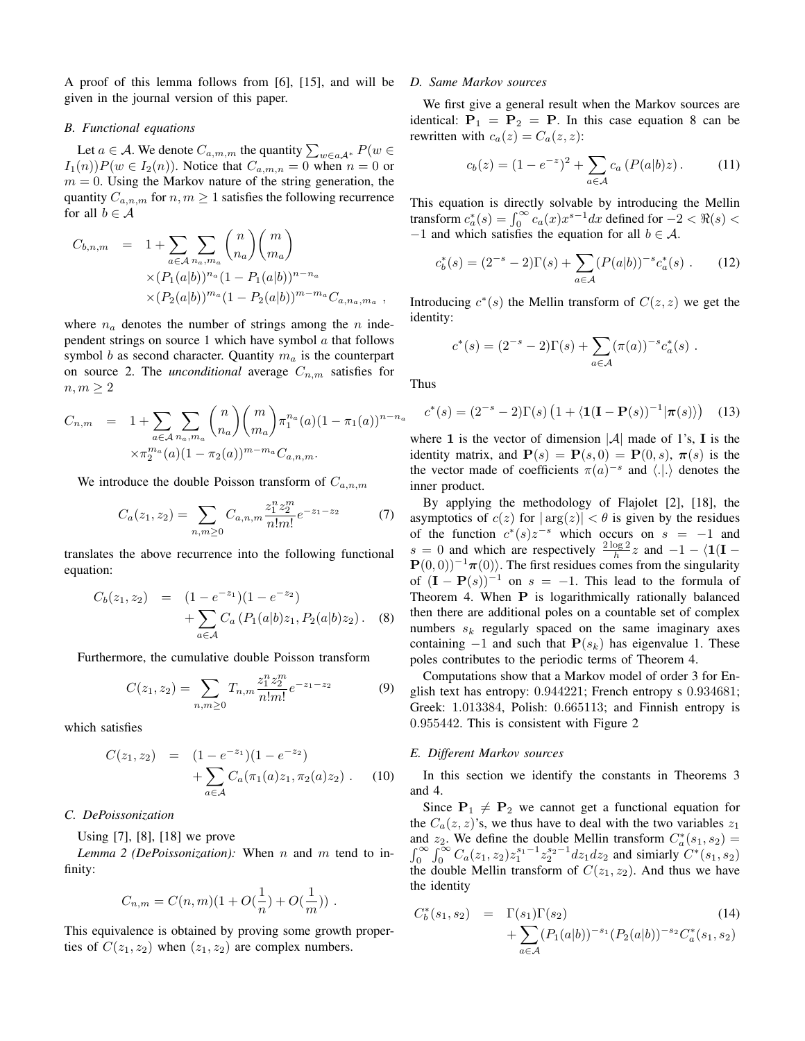A proof of this lemma follows from [6], [15], and will be given in the journal version of this paper.

## *B. Functional equations*

Let  $a \in \mathcal{A}$ . We denote  $C_{a,m,m}$  the quantity  $\sum_{w \in a\mathcal{A}^*} P(w \in$  $I_1(n)$ ) $P(w \in I_2(n))$ . Notice that  $C_{a,m,n} = 0$  when  $n = 0$  or  $m = 0$ . Using the Markov nature of the string generation, the quantity  $C_{a,n,m}$  for  $n, m \geq 1$  satisfies the following recurrence for all  $b \in A$ 

$$
C_{b,n,m} = 1 + \sum_{a \in \mathcal{A}} \sum_{n_a, m_a} {n \choose n_a} {m \choose m_a}
$$
  
 
$$
\times (P_1(a|b))^{n_a} (1 - P_1(a|b))^{n - n_a}
$$
  
 
$$
\times (P_2(a|b))^{m_a} (1 - P_2(a|b))^{m - m_a} C_{a, n_a, m_a} ,
$$

where  $n_a$  denotes the number of strings among the n independent strings on source 1 which have symbol  $\alpha$  that follows symbol b as second character. Quantity  $m_a$  is the counterpart on source 2. The *unconditional* average  $C_{n,m}$  satisfies for  $n, m \geq 2$ 

$$
C_{n,m} = 1 + \sum_{a \in A} \sum_{n_a, m_a} {n \choose n_a} {m \choose m_a} \pi_1^{n_a}(a) (1 - \pi_1(a))^{n - n_a}
$$

$$
\times \pi_2^{m_a}(a) (1 - \pi_2(a))^{m - m_a} C_{a,n,m}.
$$

We introduce the double Poisson transform of  $C_{a,n,m}$ 

$$
C_a(z_1, z_2) = \sum_{n,m \ge 0} C_{a,n,m} \frac{z_1^n z_2^m}{n! m!} e^{-z_1 - z_2}
$$
 (7)

translates the above recurrence into the following functional equation:

$$
C_b(z_1, z_2) = (1 - e^{-z_1})(1 - e^{-z_2})
$$
  
+ 
$$
\sum_{a \in \mathcal{A}} C_a (P_1(a|b)z_1, P_2(a|b)z_2).
$$
 (8)

Furthermore, the cumulative double Poisson transform

$$
C(z_1, z_2) = \sum_{n,m \ge 0} T_{n,m} \frac{z_1^n z_2^m}{n! m!} e^{-z_1 - z_2}
$$
(9)

which satisfies

$$
C(z_1, z_2) = (1 - e^{-z_1})(1 - e^{-z_2}) + \sum_{a \in \mathcal{A}} C_a(\pi_1(a)z_1, \pi_2(a)z_2).
$$
 (10)

## *C. DePoissonization*

Using [7], [8], [18] we prove

*Lemma 2 (DePoissonization):* When n and m tend to infinity:

$$
C_{n,m} = C(n,m)(1 + O(\frac{1}{n}) + O(\frac{1}{m}))
$$
.

This equivalence is obtained by proving some growth properties of  $C(z_1, z_2)$  when  $(z_1, z_2)$  are complex numbers.

## *D. Same Markov sources*

We first give a general result when the Markov sources are identical:  $P_1 = P_2 = P$ . In this case equation 8 can be rewritten with  $c_a(z) = C_a(z, z)$ :

$$
c_b(z) = (1 - e^{-z})^2 + \sum_{a \in \mathcal{A}} c_a \left( P(a|b)z \right). \tag{11}
$$

This equation is directly solvable by introducing the Mellin transform  $c_a^*(s) = \int_0^\infty c_a(x) x^{s-1} dx$  defined for  $-2 < \Re(s) <$  $-1$  and which satisfies the equation for all  $b \in \mathcal{A}$ .

$$
c_b^*(s) = (2^{-s} - 2)\Gamma(s) + \sum_{a \in \mathcal{A}} (P(a|b))^{-s} c_a^*(s) . \tag{12}
$$

Introducing  $c^*(s)$  the Mellin transform of  $C(z, z)$  we get the identity:

$$
c^*(s) = (2^{-s} - 2)\Gamma(s) + \sum_{a \in \mathcal{A}} (\pi(a))^{-s} c_a^*(s) .
$$

Thus

$$
c^*(s) = (2^{-s} - 2)\Gamma(s) \left(1 + \langle \mathbf{1}(\mathbf{I} - \mathbf{P}(s))^{-1} | \pi(s) \rangle \right) \tag{13}
$$

where 1 is the vector of dimension  $|\mathcal{A}|$  made of 1's, I is the identity matrix, and  $P(s) = P(s, 0) = P(0, s)$ ,  $\pi(s)$  is the the vector made of coefficients  $\pi(a)^{-s}$  and  $\langle .|. \rangle$  denotes the inner product.

By applying the methodology of Flajolet [2], [18], the asymptotics of  $c(z)$  for  $|\arg(z)| < \theta$  is given by the residues of the function  $c^*(s)z^{-s}$  which occurs on  $s = -1$  and  $s = 0$  and which are respectively  $\frac{2 \log 2}{h} z$  and  $-1 - \langle 1(I - z) \rangle$  $P(0, 0)$ <sup>-1</sup> $\pi(0)$ . The first residues comes from the singularity of  $(I - P(s))^{-1}$  on  $s = -1$ . This lead to the formula of Theorem 4. When P is logarithmically rationally balanced then there are additional poles on a countable set of complex numbers  $s_k$  regularly spaced on the same imaginary axes containing  $-1$  and such that  $P(s_k)$  has eigenvalue 1. These poles contributes to the periodic terms of Theorem 4.

Computations show that a Markov model of order 3 for English text has entropy: 0.944221; French entropy s 0.934681; Greek: 1.013384, Polish: 0.665113; and Finnish entropy is 0.955442. This is consistent with Figure 2

## *E. Different Markov sources*

In this section we identify the constants in Theorems 3 and 4.

Since  $P_1 \neq P_2$  we cannot get a functional equation for the  $C_a(z, z)$ 's, we thus have to deal with the two variables  $z_1$ and  $z_2$ . We define the double Mellin transform  $C_a^*(s_1, s_2) =$  $\int_0^\infty \int_0^\infty C_a(z_1, z_2) z_1^{s_1-1} z_2^{s_2-1} dz_1 dz_2$  and simiarly  $C^*(s_1, s_2)$ the double Mellin transform of  $C(z_1, z_2)$ . And thus we have the identity

$$
C_b^*(s_1, s_2) = \Gamma(s_1)\Gamma(s_2)
$$
  
+ 
$$
\sum_{a \in \mathcal{A}} (P_1(a|b))^{-s_1} (P_2(a|b))^{-s_2} C_a^*(s_1, s_2)
$$
 (14)